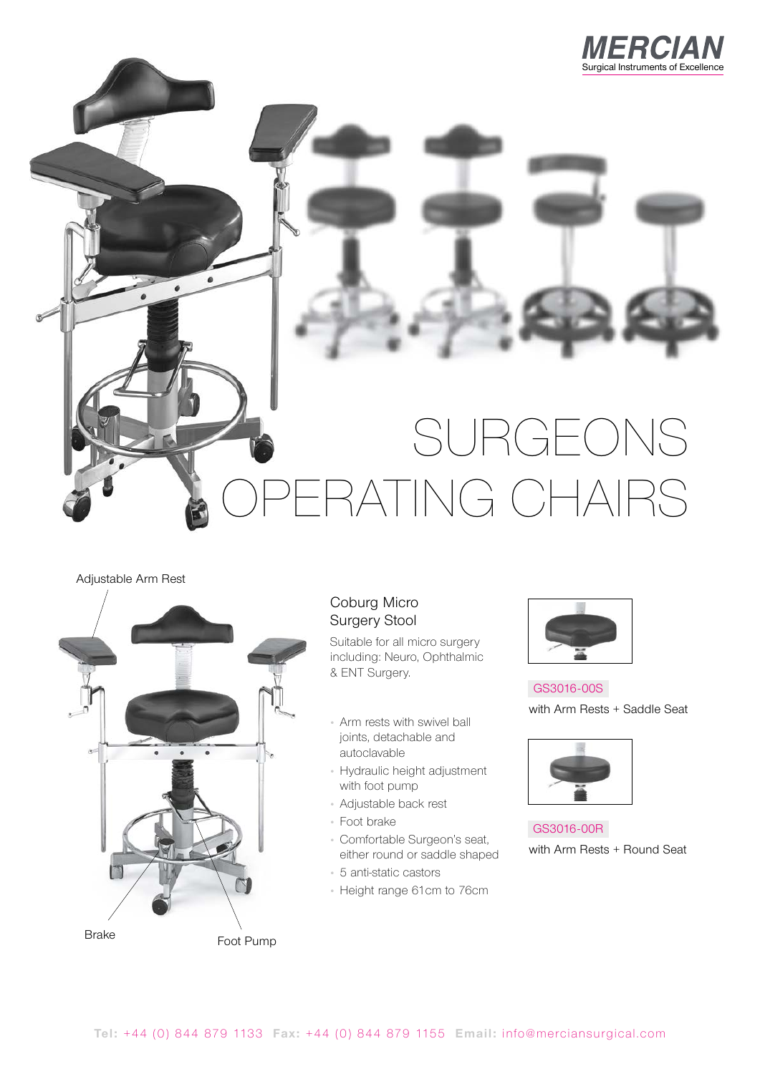

# RGEONS ATING CHAIRS

#### Adjustable Arm Rest



#### Coburg Micro Surgery Stool

Suitable for all micro surgery including: Neuro, Ophthalmic & ENT Surgery.

- Arm rests with swivel ball joints, detachable and autoclavable
- Hydraulic height adjustment with foot pump
- Adjustable back rest
- Foot brake
- Comfortable Surgeon's seat, either round or saddle shaped
- 5 anti-static castors
- Height range 61cm to 76cm



GS3016-00S with Arm Rests + Saddle Seat



GS3016-00R with Arm Rests + Round Seat